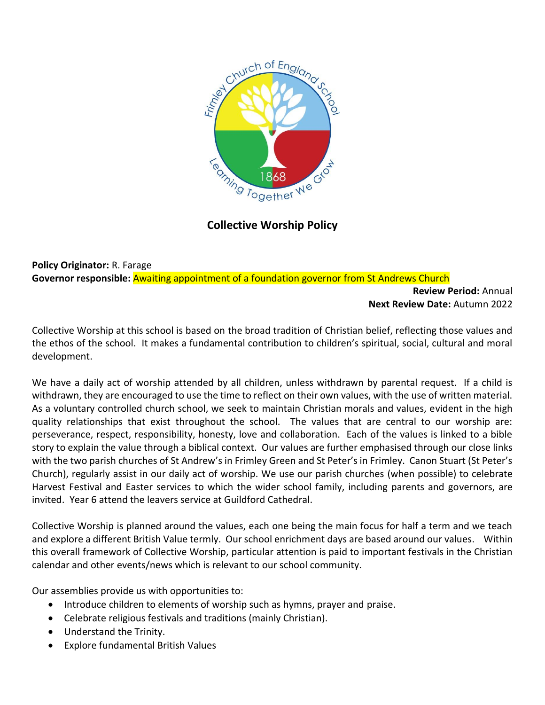

## **Collective Worship Policy**

**Policy Originator:** R. Farage **Governor responsible:** Awaiting appointment of a foundation governor from St Andrews Church

> **Review Period:** Annual **Next Review Date:** Autumn 2022

Collective Worship at this school is based on the broad tradition of Christian belief, reflecting those values and the ethos of the school. It makes a fundamental contribution to children's spiritual, social, cultural and moral development.

We have a daily act of worship attended by all children, unless withdrawn by parental request. If a child is withdrawn, they are encouraged to use the time to reflect on their own values, with the use of written material. As a voluntary controlled church school, we seek to maintain Christian morals and values, evident in the high quality relationships that exist throughout the school. The values that are central to our worship are: perseverance, respect, responsibility, honesty, love and collaboration. Each of the values is linked to a bible story to explain the value through a biblical context. Our values are further emphasised through our close links with the two parish churches of St Andrew's in Frimley Green and St Peter's in Frimley. Canon Stuart (St Peter's Church), regularly assist in our daily act of worship. We use our parish churches (when possible) to celebrate Harvest Festival and Easter services to which the wider school family, including parents and governors, are invited. Year 6 attend the leavers service at Guildford Cathedral.

Collective Worship is planned around the values, each one being the main focus for half a term and we teach and explore a different British Value termly. Our school enrichment days are based around our values. Within this overall framework of Collective Worship, particular attention is paid to important festivals in the Christian calendar and other events/news which is relevant to our school community.

Our assemblies provide us with opportunities to:

- Introduce children to elements of worship such as hymns, prayer and praise.
- Celebrate religious festivals and traditions (mainly Christian).
- Understand the Trinity.
- Explore fundamental British Values